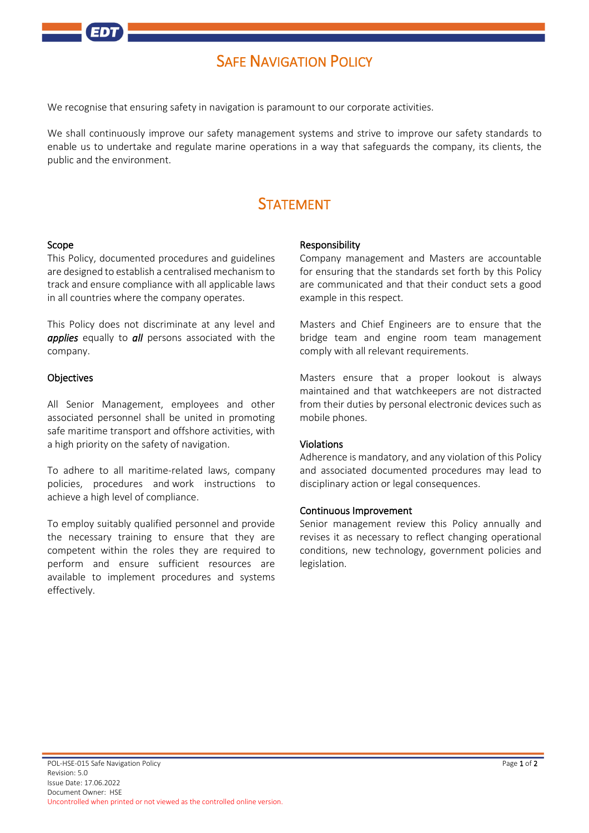

# **SAFE NAVIGATION POLICY**

We recognise that ensuring safety in navigation is paramount to our corporate activities.

We shall continuously improve our safety management systems and strive to improve our safety standards to enable us to undertake and regulate marine operations in a way that safeguards the company, its clients, the public and the environment.

# **STATEMENT**

#### Scope

This Policy, documented procedures and guidelines are designed to establish a centralised mechanism to track and ensure compliance with all applicable laws in all countries where the company operates.

This Policy does not discriminate at any level and *applies* equally to *all* persons associated with the company.

## **Objectives**

All Senior Management, employees and other associated personnel shall be united in promoting safe maritime transport and offshore activities, with a high priority on the safety of navigation.

To adhere to all maritime-related laws, company policies, procedures and work instructions to achieve a high level of compliance.

To employ suitably qualified personnel and provide the necessary training to ensure that they are competent within the roles they are required to perform and ensure sufficient resources are available to implement procedures and systems effectively.

#### Responsibility

Company management and Masters are accountable for ensuring that the standards set forth by this Policy are communicated and that their conduct sets a good example in this respect.

Masters and Chief Engineers are to ensure that the bridge team and engine room team management comply with all relevant requirements.

Masters ensure that a proper lookout is always maintained and that watchkeepers are not distracted from their duties by personal electronic devices such as mobile phones.

## Violations

Adherence is mandatory, and any violation of this Policy and associated documented procedures may lead to disciplinary action or legal consequences.

## Continuous Improvement

Senior management review this Policy annually and revises it as necessary to reflect changing operational conditions, new technology, government policies and legislation.